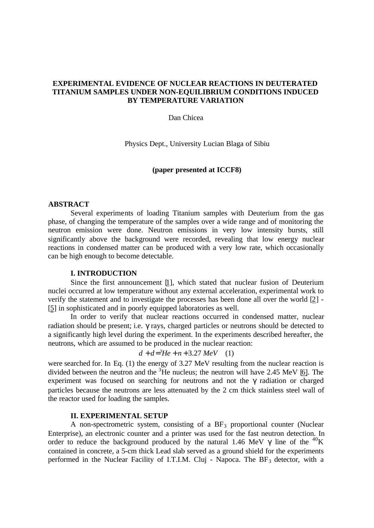# **EXPERIMENTAL EVIDENCE OF NUCLEAR REACTIONS IN DEUTERATED TITANIUM SAMPLES UNDER NON-EQUILIBRIUM CONDITIONS INDUCED BY TEMPERATURE VARIATION**

Dan Chicea

Physics Dept., University Lucian Blaga of Sibiu

# **(paper presented at ICCF8)**

#### **ABSTRACT**

Several experiments of loading Titanium samples with Deuterium from the gas phase, of changing the temperature of the samples over a wide range and of monitoring the neutron emission were done. Neutron emissions in very low intensity bursts, still significantly above the background were recorded, revealing that low energy nuclear reactions in condensed matter can be produced with a very low rate, which occasionally can be high enough to become detectable.

# **I. INTRODUCTION**

Since the first announcement [1], which stated that nuclear fusion of Deuterium nuclei occurred at low temperature without any external acceleration, experimental work to verify the statement and to investigate the processes has been done all over the world [2] - [5] in sophisticated and in poorly equipped laboratories as well.

In order to verify that nuclear reactions occurred in condensed matter, nuclear radiation should be present; i.e. γ rays, charged particles or neutrons should be detected to a significantly high level during the experiment. In the experiments described hereafter, the neutrons, which are assumed to be produced in the nuclear reaction:

$$
d + d = {}^{3}He + n + 3.27 \ MeV \quad (1)
$$

were searched for. In Eq. (1) the energy of 3.27 MeV resulting from the nuclear reaction is divided between the neutron and the  $3$ He nucleus; the neutron will have 2.45 MeV [6]. The experiment was focused on searching for neutrons and not the γ radiation or charged particles because the neutrons are less attenuated by the 2 cm thick stainless steel wall of the reactor used for loading the samples.

# **II. EXPERIMENTAL SETUP**

A non-spectrometric system, consisting of a  $BF<sub>3</sub>$  proportional counter (Nuclear Enterprise), an electronic counter and a printer was used for the fast neutron detection. In order to reduce the background produced by the natural 1.46 MeV  $\gamma$  line of the <sup>40</sup>K contained in concrete, a 5-cm thick Lead slab served as a ground shield for the experiments performed in the Nuclear Facility of I.T.I.M. Cluj - Napoca. The  $BF<sub>3</sub>$  detector, with a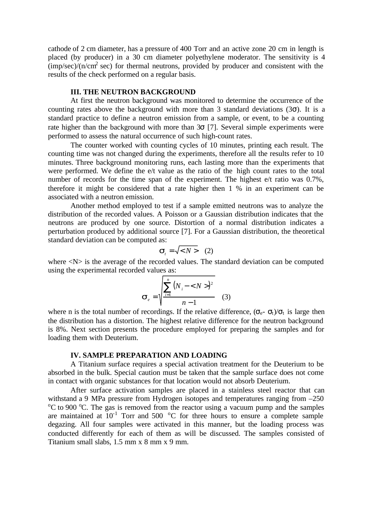cathode of 2 cm diameter, has a pressure of 400 Torr and an active zone 20 cm in length is placed (by producer) in a 30 cm diameter polyethylene moderator. The sensitivity is 4  $\frac{\text{imp/sec}}{\text{m}}$  (imp/sec) for thermal neutrons, provided by producer and consistent with the results of the check performed on a regular basis.

#### **III. THE NEUTRON BACKGROUND**

At first the neutron background was monitored to determine the occurrence of the counting rates above the background with more than 3 standard deviations  $(3\sigma)$ . It is a standard practice to define a neutron emission from a sample, or event, to be a counting rate higher than the background with more than  $3\sigma$  [7]. Several simple experiments were performed to assess the natural occurrence of such high-count rates.

The counter worked with counting cycles of 10 minutes, printing each result. The counting time was not changed during the experiments, therefore all the results refer to 10 minutes. Three background monitoring runs, each lasting more than the experiments that were performed. We define the e/t value as the ratio of the high count rates to the total number of records for the time span of the experiment. The highest e/t ratio was 0.7%, therefore it might be considered that a rate higher then 1 % in an experiment can be associated with a neutron emission.

Another method employed to test if a sample emitted neutrons was to analyze the distribution of the recorded values. A Poisson or a Gaussian distribution indicates that the neutrons are produced by one source. Distortion of a normal distribution indicates a perturbation produced by additional source [7]. For a Gaussian distribution, the theoretical standard deviation can be computed as:

$$
\mathbf{S}_t = \sqrt{< N>}(2)
$$

where  $\langle N \rangle$  is the average of the recorded values. The standard deviation can be computed using the experimental recorded values as:

$$
\mathbf{s}_{e} = \sqrt{\frac{\sum_{i=1}^{n} (N_{i} - \langle N \rangle)^{2}}{n-1}}
$$
 (3)

where n is the total number of recordings. If the relative difference,  $(\sigma_{e^-} \sigma_t)/\sigma_t$  is large then the distribution has a distortion. The highest relative difference for the neutron background is 8%. Next section presents the procedure employed for preparing the samples and for loading them with Deuterium.

# **IV. SAMPLE PREPARATION AND LOADING**

A Titanium surface requires a special activation treatment for the Deuterium to be absorbed in the bulk. Special caution must be taken that the sample surface does not come in contact with organic substances for that location would not absorb Deuterium.

After surface activation samples are placed in a stainless steel reactor that can withstand a 9 MPa pressure from Hydrogen isotopes and temperatures ranging from –250  $\rm{^{\circ}C}$  to 900  $\rm{^{\circ}C}$ . The gas is removed from the reactor using a vacuum pump and the samples are maintained at  $10^{-1}$  Torr and 500  $^{\circ}$ C for three hours to ensure a complete sample degazing. All four samples were activated in this manner, but the loading process was conducted differently for each of them as will be discussed. The samples consisted of Titanium small slabs, 1.5 mm x 8 mm x 9 mm.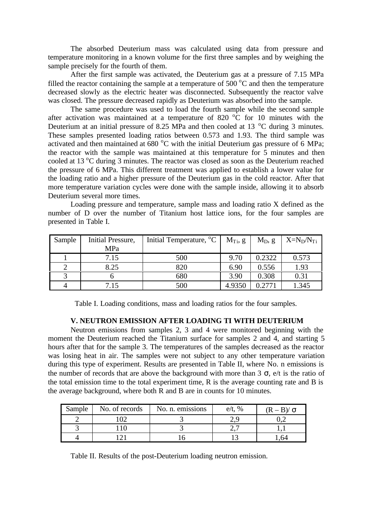The absorbed Deuterium mass was calculated using data from pressure and temperature monitoring in a known volume for the first three samples and by weighing the sample precisely for the fourth of them.

After the first sample was activated, the Deuterium gas at a pressure of 7.15 MPa filled the reactor containing the sample at a temperature of 500  $\degree$ C and then the temperature decreased slowly as the electric heater was disconnected. Subsequently the reactor valve was closed. The pressure decreased rapidly as Deuterium was absorbed into the sample.

The same procedure was used to load the fourth sample while the second sample after activation was maintained at a temperature of 820  $^{\circ}$ C for 10 minutes with the Deuterium at an initial pressure of 8.25 MPa and then cooled at 13  $^{\circ}$ C during 3 minutes. These samples presented loading ratios between 0.573 and 1.93. The third sample was activated and then maintained at  $680\text{ °C}$  with the initial Deuterium gas pressure of 6 MPa; the reactor with the sample was maintained at this temperature for 5 minutes and then cooled at 13 °C during 3 minutes. The reactor was closed as soon as the Deuterium reached the pressure of 6 MPa. This different treatment was applied to establish a lower value for the loading ratio and a higher pressure of the Deuterium gas in the cold reactor. After that more temperature variation cycles were done with the sample inside, allowing it to absorb Deuterium several more times.

Loading pressure and temperature, sample mass and loading ratio X defined as the number of D over the number of Titanium host lattice ions, for the four samples are presented in Table I.

| Sample | Initial Pressure,<br>MPa | Initial Temperature, <sup>o</sup> C | $M_{Ti}$ , g | $M_D, g$ | $X=N_D/N_T$ |
|--------|--------------------------|-------------------------------------|--------------|----------|-------------|
|        |                          |                                     |              |          |             |
|        | 7.15                     | 500                                 | 9.70         | 0.2322   | 0.573       |
|        | 8.25                     | 820                                 | 6.90         | 0.556    | 1.93        |
|        |                          | 680                                 | 3.90         | 0.308    | 0.31        |
|        | 7.15                     | 500                                 | 4.9350       |          | 1.345       |

Table I. Loading conditions, mass and loading ratios for the four samples.

### **V. NEUTRON EMISSION AFTER LOADING TI WITH DEUTERIUM**

Neutron emissions from samples 2, 3 and 4 were monitored beginning with the moment the Deuterium reached the Titanium surface for samples 2 and 4, and starting 5 hours after that for the sample 3. The temperatures of the samples decreased as the reactor was losing heat in air. The samples were not subject to any other temperature variation during this type of experiment. Results are presented in Table II, where No. n emissions is the number of records that are above the background with more than 3  $\sigma$ , e/t is the ratio of the total emission time to the total experiment time, R is the average counting rate and B is the average background, where both R and B are in counts for 10 minutes.

| Sample | No. of records | No. n. emissions | $\%$<br>e/t. | $(R - B)/\sigma$ |
|--------|----------------|------------------|--------------|------------------|
|        |                |                  | _.           |                  |
|        |                |                  | ,,,          |                  |
|        |                |                  |              |                  |

Table II. Results of the post-Deuterium loading neutron emission.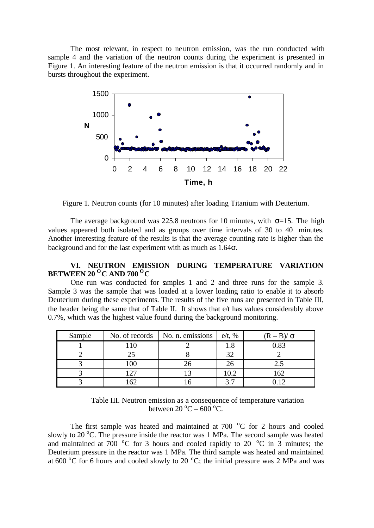The most relevant, in respect to neutron emission, was the run conducted with sample 4 and the variation of the neutron counts during the experiment is presented in Figure 1. An interesting feature of the neutron emission is that it occurred randomly and in bursts throughout the experiment.



Figure 1. Neutron counts (for 10 minutes) after loading Titanium with Deuterium.

The average background was 225.8 neutrons for 10 minutes, with  $\sigma$ =15. The high values appeared both isolated and as groups over time intervals of 30 to 40 minutes. Another interesting feature of the results is that the average counting rate is higher than the background and for the last experiment with as much as  $1.64\sigma$ .

# **VI. NEUTRON EMISSION DURING TEMPERATURE VARIATION BETWEEN 20 <sup>O</sup>C AND 700 <sup>O</sup>C**

One run was conducted for samples 1 and 2 and three runs for the sample 3. Sample 3 was the sample that was loaded at a lower loading ratio to enable it to absorb Deuterium during these experiments. The results of the five runs are presented in Table III, the header being the same that of Table II. It shows that e/t has values considerably above 0.7%, which was the highest value found during the background monitoring.

| Sample | No. of records | No. n. emissions | $e/t$ , %      | $(R - B)/\sigma$ |
|--------|----------------|------------------|----------------|------------------|
|        |                |                  | 1.8            | 0.83             |
|        |                |                  | 32             |                  |
|        | 100            |                  | 26             |                  |
|        |                |                  | 10.2           | 162              |
|        | ⊂∩             |                  | $\gamma$ $\pi$ |                  |

Table III. Neutron emission as a consequence of temperature variation between  $20^{\circ}$ C – 600 °C.

The first sample was heated and maintained at  $700\degree$ C for 2 hours and cooled slowly to 20  $\rm{^oC}$ . The pressure inside the reactor was 1 MPa. The second sample was heated and maintained at 700  $\,^{\circ}$ C for 3 hours and cooled rapidly to 20  $\,^{\circ}$ C in 3 minutes; the Deuterium pressure in the reactor was 1 MPa. The third sample was heated and maintained at 600  $\rm{^{\circ}C}$  for 6 hours and cooled slowly to 20  $\rm{^{\circ}C}$ ; the initial pressure was 2 MPa and was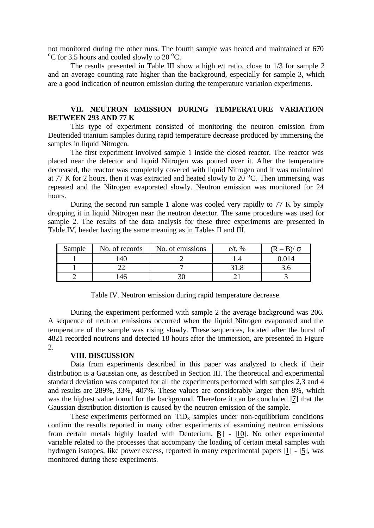not monitored during the other runs. The fourth sample was heated and maintained at 670  $\rm{^{\circ}C}$  for 3.5 hours and cooled slowly to 20  $\rm{^{\circ}C}$ .

The results presented in Table III show a high e/t ratio, close to 1/3 for sample 2 and an average counting rate higher than the background, especially for sample 3, which are a good indication of neutron emission during the temperature variation experiments.

# **VII. NEUTRON EMISSION DURING TEMPERATURE VARIATION BETWEEN 293 AND 77 K**

This type of experiment consisted of monitoring the neutron emission from Deuterided titanium samples during rapid temperature decrease produced by immersing the samples in liquid Nitrogen.

The first experiment involved sample 1 inside the closed reactor. The reactor was placed near the detector and liquid Nitrogen was poured over it. After the temperature decreased, the reactor was completely covered with liquid Nitrogen and it was maintained at 77 K for 2 hours, then it was extracted and heated slowly to 20  $^{\circ}$ C. Then immersing was repeated and the Nitrogen evaporated slowly. Neutron emission was monitored for 24 hours.

During the second run sample 1 alone was cooled very rapidly to 77 K by simply dropping it in liquid Nitrogen near the neutron detector. The same procedure was used for sample 2. The results of the data analysis for these three experiments are presented in Table IV, header having the same meaning as in Tables II and III.

| Sample | No. of records | No. of emissions | $e/t$ , % | $(R = R)/R$ |
|--------|----------------|------------------|-----------|-------------|
|        | 140            |                  |           |             |
|        |                |                  |           |             |
|        |                | υı               |           |             |

| Table IV. Neutron emission during rapid temperature decrease. |  |  |  |
|---------------------------------------------------------------|--|--|--|

During the experiment performed with sample 2 the average background was 206. A sequence of neutron emissions occurred when the liquid Nitrogen evaporated and the temperature of the sample was rising slowly. These sequences, located after the burst of 4821 recorded neutrons and detected 18 hours after the immersion, are presented in Figure 2.

### **VIII. DISCUSSION**

Data from experiments described in this paper was analyzed to check if their distribution is a Gaussian one, as described in Section III. The theoretical and experimental standard deviation was computed for all the experiments performed with samples 2,3 and 4 and results are 289%, 33%, 407%. These values are considerably larger then 8%, which was the highest value found for the background. Therefore it can be concluded [7] that the Gaussian distribution distortion is caused by the neutron emission of the sample.

These experiments performed on  $TiD_x$  samples under non-equilibrium conditions confirm the results reported in many other experiments of examining neutron emissions from certain metals highly loaded with Deuterium,  $[8]$  -  $[10]$ . No other experimental variable related to the processes that accompany the loading of certain metal samples with hydrogen isotopes, like power excess, reported in many experimental papers [1] - [5], was monitored during these experiments.